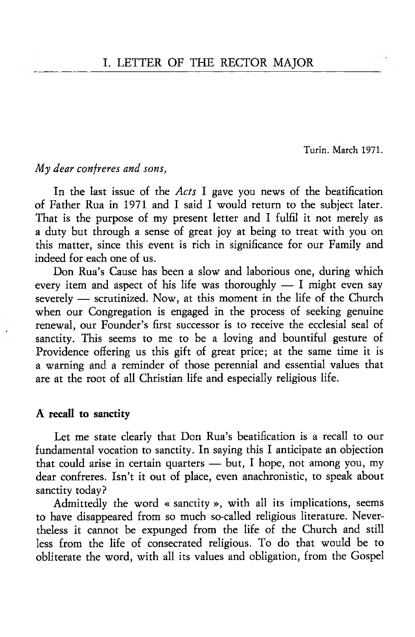Turin. March 1971.

# *My dear confreres and sons,*

In the last issue of the *Acts* I gave you news of the beatification of Father Rua in 1971 and I said I would return to the subject later. That is the purpose of my present letter and I fulfil it not merely as a duty but through a sense of great joy at being to treat with you on this matter, since this event is rich in significance for our Family and indeed for each one of us.

Don Rua's Cause has been a slow and laborious one, during which every item and aspect of his life was thoroughly — I might even say severely — scrutinized. Now, at this moment in the life of the Church when our Congregation is engaged in the process of seeking genuine renewal, our Founder's first successor is to receive the ecclesial seal of sanctity. This seems to me to be a loving and bountiful gesture of Providence offering us this gift of great price; at the same time it is a warning and a reminder of those perennial and essential values that are at the root of all Christian life and especially religious life.

#### A recall to sanctity

Let me state clearly that Don Rua's beatification is a recall to our fundamental vocation to sanctity. In saying this I anticipate an objection that could arise in certain quarters — but, I hope, not among you, my dear confreres. Isn't it out of place, even anachronistic, to speak about sanctity today?

Admittedly the word « sanctity », with all its implications, seems to have disappeared from so much so-called religious literature. Nevertheless it cannot be expunged from the life of the Church and still less from the life of consecrated religious. To do that would be to obliterate the word, with all its values and obligation, from the Gospel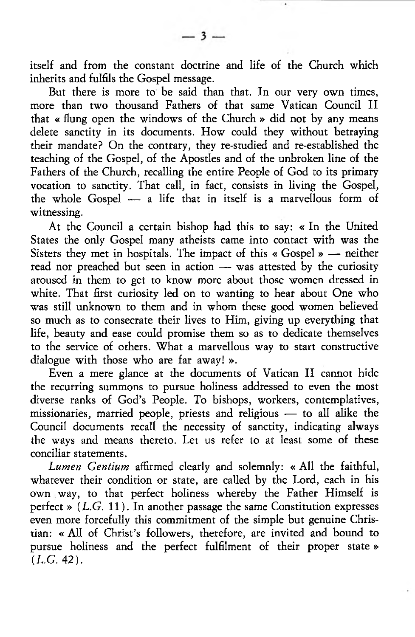itself and from the constant doctrine and life of the Church which inherits and fulfils the Gospel message.

But there is more to be said than that. In our very own times, more than two thousand Fathers of that same Vatican Council II that « flung open the windows of the Church » did not by any means delete sanctity in its documents. How could they without betraying their mandate? On the contrary, they re-studied and re-established the teaching of the Gospel, of the Apostles and of the unbroken line of the Fathers of the Church, recalling the entire People of God to its primary vocation to sanctity. That call, in fact, consists in living the Gospel, the whole Gospel — a life that in itself is a marvellous form of witnessing.

At the Council a certain bishop had this to say: « In the United States the only Gospel many atheists came into contact with was the Sisters they met in hospitals. The impact of this « Gospel » — neither read nor preached but seen in action — was attested by the curiosity aroused in them to get to know more about those women dressed in white. That first curiosity led on to wanting to hear about One who was still unknown to them and in whom these good women believed so much as to consecrate their lives to Him, giving up everything that life, beauty and ease could promise them so as to dedicate themselves to the service of others. What a marvellous way to start constructive dialogue with those who are far away! ».

Even a mere glance at the documents of Vatican II cannot hide the recurring summons to pursue holiness addressed to even the most diverse ranks of God's People. To bishops, workers, contemplatives, missionaries, married people, priests and religious — to all alike the Council documents recall the necessity of sanctity, indicating always the ways and means thereto. Let us refer to at least some of these conciliar statements.

*Lumen Gentium* affirmed clearly and solemnly: « All the faithful, whatever their condition or state, are called by the Lord, each in his own way, to that perfect holiness whereby the Father Himself is perfect »  $(L.G. 11)$ . In another passage the same Constitution expresses even more forcefully this commitment of the simple but genuine Christian: « All of Christ's followers, therefore, are invited and bound to pursue holiness and the perfect fulfilment of their proper state»  $(L.G. 42).$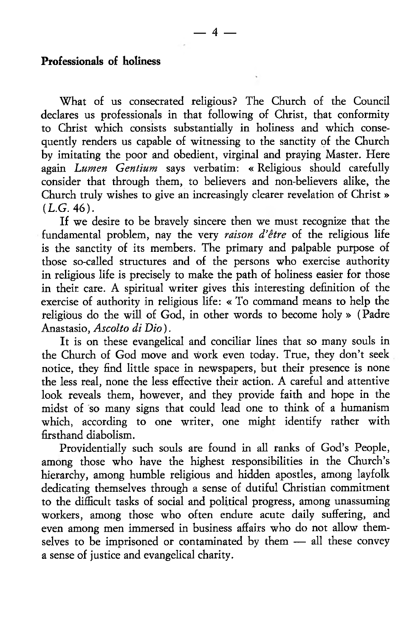#### Professionals of holiness

What of us consecrated religious? The Church of the Council declares us professionals in that following of Christ, that conformity to Christ which consists substantially in holiness and which consequently renders us capable of witnessing to the sanctity of the Church by imitating the poor and obedient, virginal and praying Master. Here again *Lumen Gentium* says verbatim: « Religious should carefully consider that through them, to believers and non-believers alike, the Church truly wishes to give an increasingly clearer revelation of Christ »  $(L.G. 46).$ 

If we desire to be bravely sincere then we must recognize that the fundamental problem, nay the very *raison d'etre* of the religious life is the sanctity of its members. The primary and palpable purpose of those so-called structures and of the persons who exercise authority in religious life is precisely to make the path of holiness easier for those in their care. A spiritual writer gives this interesting definition of the exercise of authority in religious life: « To command means to help the religious do the will of God, in other words to become holy » (Padre Anastasio, *Ascolto di Dio*).

It is on these evangelical and conciliar lines that so many souls in the Church of God move and work even today. True, they don't seek notice, they find little space in newspapers, but their presence is none the less real, none the less effective their action. A careful and attentive look reveals them, however, and they provide faith and hope in the midst of so many signs that could lead one to think of a humanism which, according to one writer, one might identify rather with firsthand diabolism.

Providentially such souls are found in all ranks of God's People, among those who have the highest responsibilities in the Church's hierarchy, among humble religious and hidden apostles, among layfolk dedicating themselves through a sense of dutiful Christian commitment to the difficult tasks of social and political progress, among unassuming workers, among those who often endure acute daily suffering, and even among men immersed in business affairs who do not allow themselves to be imprisoned or contaminated by them — all these convey a sense of justice and evangelical charity.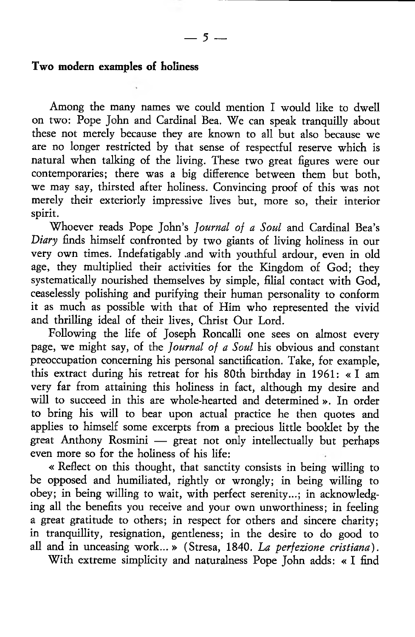### Two modern examples of holiness

Among the many names we could mention I would like to dwell on two: Pope John and Cardinal Bea. We can speak tranquilly about these not merely because they are known to all but also because we are no longer restricted by that sense of respectful reserve which is natural when talking of the living. These two great figures were our contemporaries; there was a big difference between them but both, we may say, thirsted after holiness. Convincing proof of this was not merely their exteriorly impressive lives but, more so, their interior spirit.

Whoever reads Pope John's *Journal of a Soul* and Cardinal Bea's *Diary* finds himself confronted by two giants of living holiness in our very own times. Indefatigably and with youthful ardour, even in old age, they multiplied their activities for the Kingdom of God; they systematically nourished themselves by simple, filial contact with God, ceaselessly polishing and purifying their human personality to conform it as much as possible with that of Him who represented the vivid and thrilling ideal of their lives, Christ Our Lord.

Following the life of Joseph Roncalli one sees on almost every page, we might say, of the *Journal of a Soul* his obvious and constant preoccupation concerning his personal sanctification. Take, for example, this extract during his retreat for his 80th birthday in 1961: « I am very far from attaining this holiness in fact, although my desire and will to succeed in this are whole-hearted and determined ». In order to bring his will to bear upon actual practice he then quotes and applies to himself some excerpts from a precious little booklet by the great Anthony Rosmini — great not only intellectually but perhaps even more so for the holiness of his life:

« Reflect on this thought, that sanctity consists in being willing to be opposed and humiliated, rightly or wrongly; in being willing to obey; in being willing to wait, with perfect serenity...; in acknowledging all the benefits you receive and your own unworthiness; in feeling a great gratitude to others; in respect for others and sincere charity; in tranquillity, resignation, gentleness; in the desire to do good to all and in unceasing work... » (Stresa, 1840. *La perfezione cristiana).*

With extreme simplicity and naturalness Pope John adds: « I find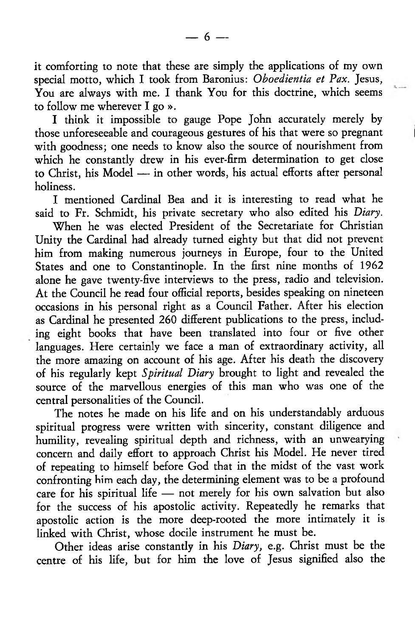it comforting to note that these are simply the applications of my own special motto, which I took from Baronius: *Oboedientia et Pax.* Jesus, You are always with me. I thank You for this doctrine, which seems to follow me wherever I go ».

I think it impossible to gauge Pope John accurately merely by those unforeseeable and courageous gestures of his that were so pregnant with goodness; one needs to know also the source of nourishment from which he constantly drew in his ever-firm determination to get close to Christ, his Model — in other words, his actual efforts after personal holiness.

I mentioned Cardinal Bea and it is interesting to read what he said to Fr. Schmidt, his private secretary who also edited his *Diary.*

When he was elected President of the Secretariate for Christian Unity the Cardinal had already turned eighty but that did not prevent him from making numerous journeys in Europe, four to the United States and one to Constantinople. In the first nine months of 1962 alone he gave twenty-five interviews to the press, radio and television. At the Council he read four official reports, besides speaking on nineteen occasions in his personal right as a Council Father. After his election as Cardinal he presented 260 different publications to the press, including eight books that have been translated into four or five other languages. Here certainly we face a man of extraordinary activity, all the more amazing on account of his age. After his death the discovery of his regularly kept *Spiritual Diary* brought to light and revealed the source of the marvellous energies of this man who was one of the central personalities of the Council.

The notes he made on his life and on his understandably arduous spiritual progress were written with sincerity, constant diligence and humility, revealing spiritual depth and richness, with an unwearying concern and daily effort to approach Christ his Model. He never tired of repeating to himself before God that in the midst of the vast work confronting him each day, the determining element was to be a profound care for his spiritual life — not merely for his own salvation but also for the success of his apostolic activity. Repeatedly he remarks that apostolic action is the more deep-rooted the more intimately it is linked with Christ, whose docile instrument he must be.

Other ideas arise constantly in his *Diary,* e.g. Christ must be the centre of his life, but for him the love of Jesus signified also the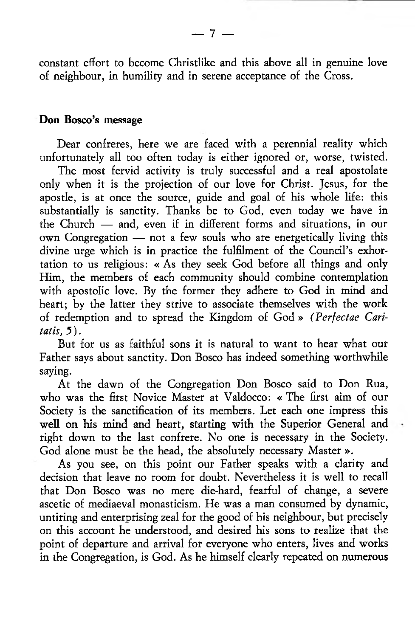constant effort to become Christlike and this above all in genuine love of neighbour, in humility and in serene acceptance of the Cross.

## Don Bosco's message

Dear confreres, here we are faced with a perennial reality which unfortunately all too often today is either ignored or, worse, twisted.

The most fervid activity is truly successful and a real apostolate only when it is the projection of our love for Christ. Jesus, for the apostle, is at once the source, guide and goal of his whole life: this substantially is sanctity. Thanks be to God, even today we have in the Church — and, even if in different forms and situations, in our own Congregation — not a few souls who are energetically living this divine urge which is in practice the fulfilment of the Council's exhortation to us religious: « As they seek God before all things and only Him, the members of each community should combine contemplation with apostolic love. By the former they adhere to God in mind and heart; by the latter they strive to associate themselves with the work of redemption and to spread the Kingdom of God » *(Perfectae Caritatis, 5* ).

But for us as faithful sons it is natural to want to hear what our Father says about sanctity. Don Bosco has indeed something worthwhile saying.

At the dawn of the Congregation Don Bosco said to Don Rua, who was the first Novice Master at Valdocco: « The first aim of our Society is the sanctification of its members. Let each one impress this well on his mind and heart, starting with the Superior General and right down to the last confrere. No one is necessary in the Society. God alone must be the head, the absolutely necessary Master ».

As you see, on this point our Father speaks with a clarity and decision that leave no room for doubt. Nevertheless it is well to recall that Don Bosco was no mere die-hard, fearful of change, a severe ascetic of mediaeval monasticism. He was a man consumed by dynamic, untiring and enterprising zeal for the good of his neighbour, but precisely on this account he understood, and desired his sons to realize that the point of departure and arrival for everyone who enters, lives and works in the Congregation, is God. As he himself clearly repeated on numerous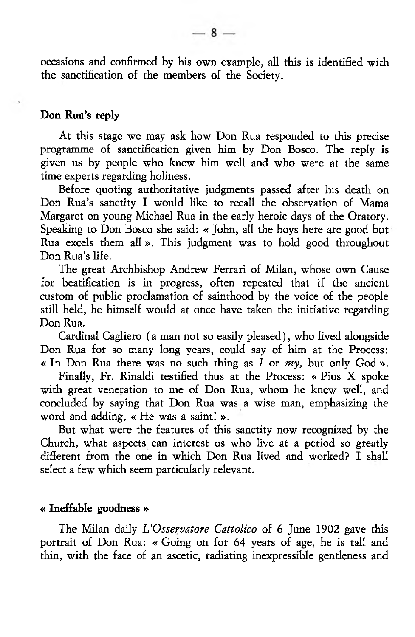occasions and confirmed by his own example, all this is identified with the sanctification of the members of the Society.

# Don Rua's reply

At this stage we may ask how Don Rua responded to this precise programme of sanctification given him by Don Bosco. The reply is given us by people who knew him well and who were at the same time experts regarding holiness.

Before quoting authoritative judgments passed after his death on Don Rua's sanctity I would like to recall the observation of Mama Margaret on young Michael Rua in the early heroic days of the Oratory. Speaking to Don Bosco she said: « John, all the boys here are good but Rua excels them all ». This judgment was to hold good throughout Don Rua's life.

The great Archbishop Andrew Ferrari of Milan, whose own Cause for beatification is in progress, often repeated that if the ancient custom of public proclamation of sainthood by the voice of the people still held, he himself would at once have taken the initiative regarding Don Rua.

Cardinal Cagliero (a man not so easily pleased), who lived alongside Don Rua for so many long years, could say of him at the Process: « In Don Rua there was no such thing as *I* or *my,* but only God ».

Finally, Fr. Rinaldi testified thus at the Process: « Pius X spoke with great veneration to me of Don Rua, whom he knew well, and concluded by saying that Don Rua was a wise man, emphasizing the word and adding, « He was a saint! ».

But what were the features of this sanctity now recognized by the Church, what aspects can interest us who live at a period so greatly different from the one in which Don Rua lived and worked? I shall select a few which seem particularly relevant.

# « Ineffable goodness »

The Milan daily *L'Osservatore Cattolico* of 6 June 1902 gave this portrait of Don Rua: « Going on for 64 years of age, he is tall and thin, with the face of an ascetic, radiating inexpressible gentleness and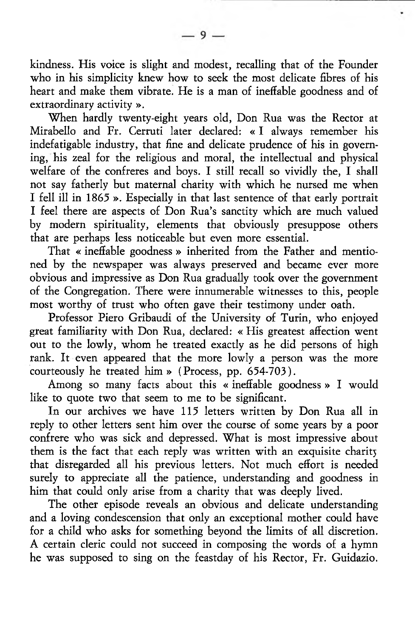kindness. His voice is slight and modest, recalling that of the Founder who in his simplicity knew how to seek the most delicate fibres of his heart and make them vibrate. He is a man of ineffable goodness and of extraordinary activity ».

When hardly twenty-eight years old, Don Rua was the Rector at Mirabello and Fr. Cerruti later declared: « I always remember his indefatigable industry, that fine and delicate prudence of his in governing, his zeal for the religious and moral, the intellectual and physical welfare of the confreres and boys. I still recall so vividly the, I shall not say fatherly but maternal charity with which he nursed me when I fell ill in 1865 ». Especially in that last sentence of that early portrait I feel there are aspects of Don Rua's sanctity which are much valued by modern spirituality, elements that obviously presuppose others that are perhaps less noticeable but even more essential.

That « ineffable goodness » inherited from the Father and mentioned by the newspaper was always preserved and became ever more obvious and impressive as Don Rua gradually took over the government of the Congregation. There were innumerable witnesses to this, people most worthy of trust who often gave their testimony under oath.

Professor Piero Gribaudi of the University of Turin, who enjoyed great familiarity with Don Rua, declared: « His greatest affection went out to the lowly, whom he treated exactly as he did persons of high rank. It even appeared that the more lowly a person was the more courteously he treated him » (Process, pp. 654-703).

Among so many facts about this « ineffable goodness » I would like to quote two that seem to me to be significant.

In our archives we have 115 letters written by Don Rua all in reply to other letters sent him over the course of some years by a poor confrere who was sick and depressed. What is most impressive about them is the fact that each reply was written with an exquisite charity that disregarded all his previous letters. Not much effort is needed surely to appreciate all the patience, understanding and goodness in him that could only arise from a charity that was deeply lived.

The other episode reveals an obvious and delicate understanding and a loving condescension that only an exceptional mother could have for a child who asks for something beyond the limits of all discretion. A certain cleric could not succeed in composing the words of a hymn he was supposed to sing on the feastday of his Rector, Fr. Guidazio.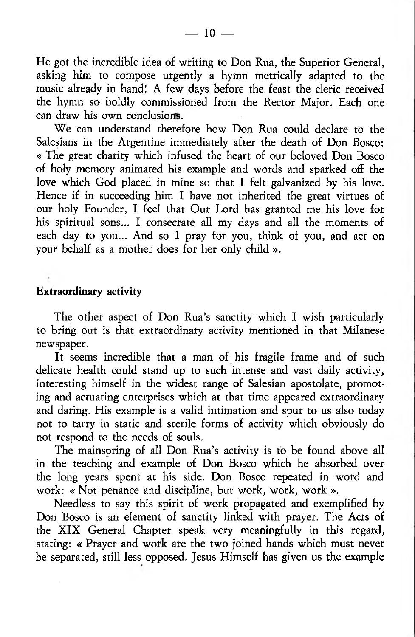He got the incredible idea of writing to Don Rua, the Superior General, asking him to compose urgently a hymn metrically adapted to the music already in hand! A few days before the feast the cleric received the hymn so boldly commissioned from the Rector Major. Each one can draw his own conclusions.

We can understand therefore how Don Rua could declare to the Salesians in the Argentine immediately after the death of Don Bosco: « The great charity which infused the heart of our beloved Don Bosco of holy memory animated his example and words and sparked off the love which God placed in mine so that I felt galvanized by his love. Hence if in succeeding him I have not inherited the great virtues of our holy Founder, I feel that Our Lord has granted me his love for his spiritual sons... I consecrate all my days and all the moments of each day to you... And so I pray for you, think of you, and act on your behalf as a mother does for her only child ».

# Extraordinary activity

The other aspect of Don Rua's sanctity which I wish particularly to bring out is that extraordinary activity mentioned in that Milanese newspaper.

It seems incredible that a man of his fragile frame and of such delicate health could stand up to such intense and vast daily activity, interesting himself in the widest range of Salesian apostolate, promoting and actuating enterprises which at that time appeared extraordinary and daring. His example is a valid intimation and spur to us also today not to tarry in static and sterile forms of activity which obviously do not respond to the needs of souls.

The mainspring of all Don Rua's activity is to be found above all in the teaching and example of Don Bosco which he absorbed over the long years spent at his side. Don Bosco repeated in word and work: « Not penance and discipline, but work, work, work ».

Needless to say this spirit of work propagated and exemplified by Don Bosco is an element of sanctity linked with prayer. The Acts of the XIX General Chapter speak very meaningfully in this regard, stating: « Prayer and work are the two joined hands which must never be separated, still less opposed. Jesus Himself has given us the example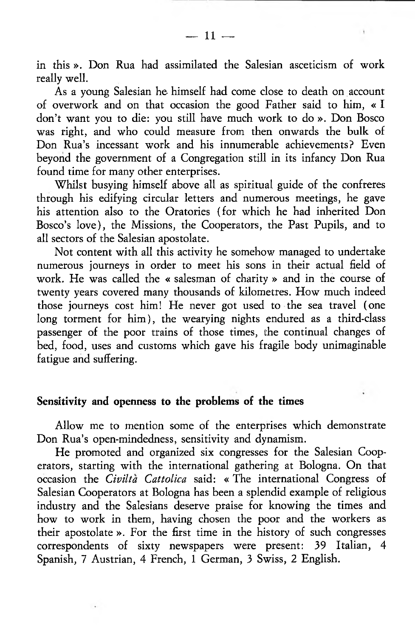in this ». Don Rua had assimilated the Salesian asceticism of work really well.

As a young Salesian he himself had come close to death on account of overwork and on that occasion the good Father said to him, « I don't want you to die: you still have much work to do ». Don Bosco was right, and who could measure from then onwards the bulk of Don Rua's incessant work and his innumerable achievements? Even beyond the government of a Congregation still in its infancy Don Rua found time for many other enterprises.

Whilst busying himself above all as spiritual guide of the confreres through his edifying circular letters and numerous meetings, he gave his attention also to the Oratories (for which he had inherited Don Bosco's love), the Missions, the Cooperators, the Past Pupils, and to all sectors of the Salesian apostolate.

Not content with all this activity he somehow managed to undertake numerous journeys in order to meet his sons in their actual field of work. He was called the « salesman of charity » and in the course of twenty years covered many thousands of kilometres. How much indeed those journeys cost him! He never got used to the sea travel (one long torment for him), the wearying nights endured as a third-class passenger of the poor trains of those times, the continual changes of bed, food, uses and customs which gave his fragile body unimaginable fatigue and suffering.

### Sensitivity and openness to the problems of the times

Allow me to mention some of the enterprises which demonstrate Don Rua's open-mindedness, sensitivity and dynamism.

He promoted and organized six congresses for the Salesian Cooperators, starting with the international gathering at Bologna. On that occasion the *Civiltà Cattolica* said: « The international Congress of Salesian Cooperators at Bologna has been a splendid example of religious industry and the Salesians deserve praise for knowing the times and how to work in them, having chosen the poor and the workers as their apostolate ». For the first time in the history of such congresses correspondents of sixty newspapers were present: 39 Italian, 4 Spanish, 7 Austrian, 4 French, 1 German, 3 Swiss, 2 English.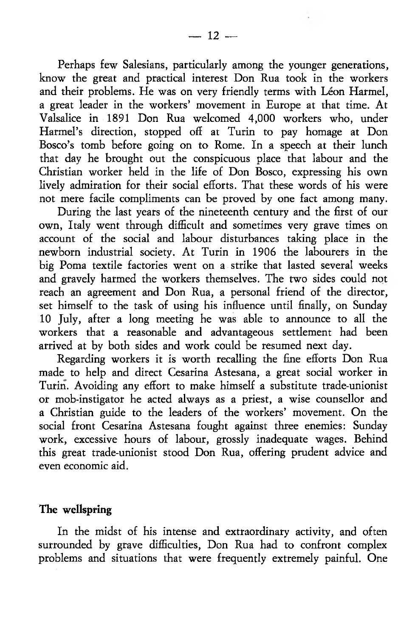Perhaps few Salesians, particularly among the younger generations, know the great and practical interest Don Rua took in the workers and their problems. He was on very friendly terms with Léon Harmel, a great leader in the workers' movement in Europe at that time. At Valsalice in 1891 Don Rua welcomed 4,000 workers who, under Harmel's direction, stopped off at Turin to pay homage at Don Bosco's tomb before going on to Rome. In a speech at their lunch that day he brought out the conspicuous place that labour and the Christian worker held in the life of Don Bosco, expressing his own lively admiration for their social efforts. That these words of his were not mere facile compliments can be proved by one fact among many.

During the last years of the nineteenth century and the first of our own, Italy went through difficult and sometimes very grave times on account of the social and labour disturbances taking place in the newborn industrial society. At Turin in 1906 the labourers in the big Poma textile factories went on a strike that lasted several weeks and gravely harmed the workers themselves. The two sides could not reach an agreement and Don Rua, a personal friend of the director, set himself to the task of using his influence until finally, on Sunday 10 July, after a long meeting he was able to announce to all the workers that a reasonable and advantageous settlement had been arrived at by both sides and work could be resumed next day.

Regarding workers it is worth recalling the fine efforts Don Rua made to help and direct Cesarina Astesana, a great social worker in Turin. Avoiding any effort to make himself a substitute trade-unionist or mob-instigator he acted always as a priest, a wise counsellor and a Christian guide to the leaders of the workers' movement. On the social front Cesarina Astesana fought against three enemies: Sunday work, excessive hours of labour, grossly inadequate wages. Behind this great trade-unionist stood Don Rua, offering prudent advice and even economic aid.

# The wellspring

In the midst of his intense and extraordinary activity, and often surrounded by grave difficulties, Don Rua had to confront complex problems and situations that were frequently extremely painful. One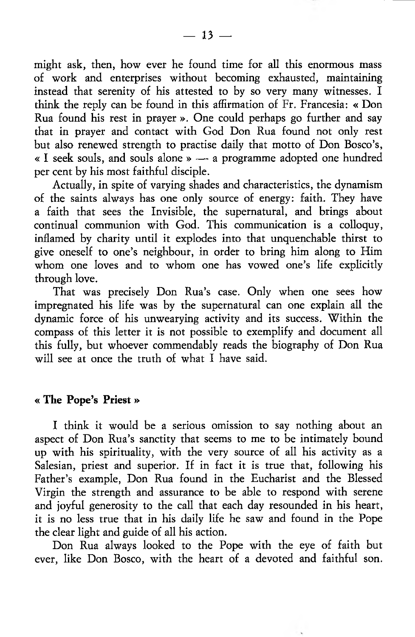might ask, then, how ever he found time for all this enormous mass of work and enterprises without becoming exhausted, maintaining instead that serenity of his attested to by so very many witnesses. I think the reply can be found in this affirmation of Fr. Francesia: « Don Rua found his rest in prayer ». One could perhaps go further and say that in prayer and contact with God Don Rua found not only rest but also renewed strength to practise daily that motto of Don Bosco's, « I seek souls, and souls alone » — a programme adopted one hundred per cent by his most faithful disciple.

Actually, in spite of varying shades and characteristics, the dynamism of the saints always has one only source of energy: faith. They have a faith that sees the Invisible, the supernatural, and brings about continual communion with God. This communication is a colloquy, inflamed by charity until it explodes into that unquenchable thirst to give oneself to one's neighbour, in order to bring him along to Him whom one loves and to whom one has vowed one's life explicitly through love.

That was precisely Don Rua's case. Only when one sees how impregnated his life was by the supernatural can one explain all the dynamic force of his unwearying activity and its success. Within the compass of this letter it is not possible to exemplify and document all this fully, but whoever commendably reads the biography of Don Rua will see at once the truth of what I have said.

## « The Pope's Priest »

I think it would be a serious omission to say nothing about an aspect of Don Rua's sanctity that seems to me to be intimately bound up with his spirituality, with the very source of all his activity as a Salesian, priest and superior. If in fact it is true that, following his Father's example, Don Rua found in the Eucharist and the Blessed Virgin the strength and assurance to be able to respond with serene and joyful generosity to the call that each day resounded in his heart, it is no less true that in his daily life he saw and found in the Pope the clear light and guide of all his action.

Don Rua always looked to the Pope with the eye of faith but ever, like Don Bosco, with the heart of a devoted and faithful son.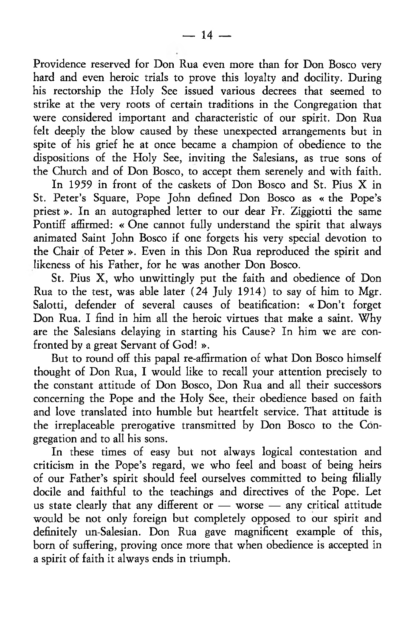Providence reserved for Don Rua even more than for Don Bosco very hard and even heroic trials to prove this loyalty and docility. During his rectorship the Holy See issued various decrees that seemed to strike at the very roots of certain traditions in the Congregation that were considered important and characteristic of our spirit. Don Rua felt deeply the blow caused by these unexpected arrangements but in spite of his grief he at once became a champion of obedience to the dispositions of the Holy See, inviting the Salesians, as true sons of the Church and of Don Bosco, to accept them serenely and with faith.

In 1959 in front of the caskets of Don Bosco and St. Pius X in St. Peter's Square, Pope John defined Don Bosco as « the Pope's priest ». In an autographed letter to our dear Fr. Ziggiotti the same Pontiff affirmed: « One cannot fully understand the spirit that always animated Saint John Bosco if one forgets his very special devotion to the Chair of Peter ». Even in this Don Rua reproduced the spirit and likeness of his Father, for he was another Don Bosco.

St. Pius X, who unwittingly put the faith and obedience of Don Rua to the test, was able later (24 July 1914) to say of him to Mgr. Salotti, defender of several causes of beatification: « Don't forget Don Rua. I find in him all the heroic virtues that make a saint. Why are the Salesians delaying in starting his Cause? In him we are confronted by a great Servant of God! ».

But to round off this papal re-affirmation of what Don Bosco himself thought of Don Rua, I would like to recall your attention precisely to the constant attitude of Don Bosco, Don Rua and all their successors concerning the Pope and the Holy See, their obedience based on faith and love translated into humble but heartfelt service. That attitude is the irreplaceable prerogative transmitted by Don Bosco to the Congregation and to all his sons.

In these times of easy but not always logical contestation and criticism in the Pope's regard, we who feel and boast of being heirs of our Father's spirit should feel ourselves committed to being filially docile and faithful to the teachings and directives of the Pope. Let us state clearly that any different or — worse — any critical attitude would be not only foreign but completely opposed to our spirit and definitely un-Salesian. Don Rua gave magnificent example of this, born of suffering, proving once more that when obedience is accepted in a spirit of faith it always ends in triumph.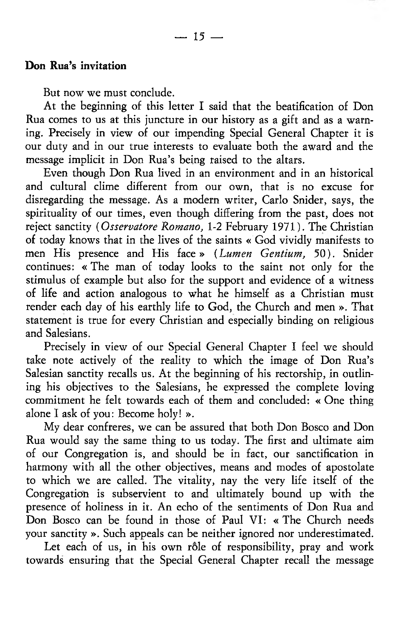But now we must conclude.

At the beginning of this letter I said that the beatification of Don Rua comes to us at this juncture in our history as a gift and as a warning. Precisely in view of our impending Special General Chapter it is our duty and in our true interests to evaluate both the award and the message implicit in Don Rua's being raised to the altars.

Even though Don Rua lived in an environment and in an historical and cultural clime different from our own, that is no excuse for disregarding the message. As a modern writer, Carlo Snider, says, the spirituality of our times, even though differing from the past, does not reject sanctity *( Osservatore Romano,* 1-2 February 1971). The Christian of today knows that in the lives of the saints « God vividly manifests to men His presence and His face» *(Lumen Gentium,* 50). Snider continues: « The man of today looks to the saint not only for the stimulus of example but also for the support and evidence of a witness of life and action analogous to what he himself as a Christian must render each day of his earthly life to God, the Church and men ». That statement is true for every Christian and especially binding on religious and Salesians.

Precisely in view of our Special General Chapter I feel we should take note actively of the reality to which the image of Don Rua's Salesian sanctity recalls us. At the beginning of his rectorship, in outlining his objectives to the Salesians, he expressed the complete loving commitment he felt towards each of them and concluded: « One thing alone I ask of you: Become holy! ».

My dear confreres, we can be assured that both Don Bosco and Don Rua would say the same thing to us today. The first and ultimate aim of our Congregation is, and should be in fact, our sanctification in harmony with all the other objectives, means and modes of apostolate to which we are called. The vitality, nay the very life itself of the Congregation is subservient to and ultimately bound up with the presence of holiness in it. An echo of the sentiments of Don Rua and Don Bosco can be found in those of Paul VI: « The Church needs your sanctity ». Such appeals can be neither ignored nor underestimated.

Let each of us, in his own rôle of responsibility, pray and work towards ensuring that the Special General Chapter recall the message